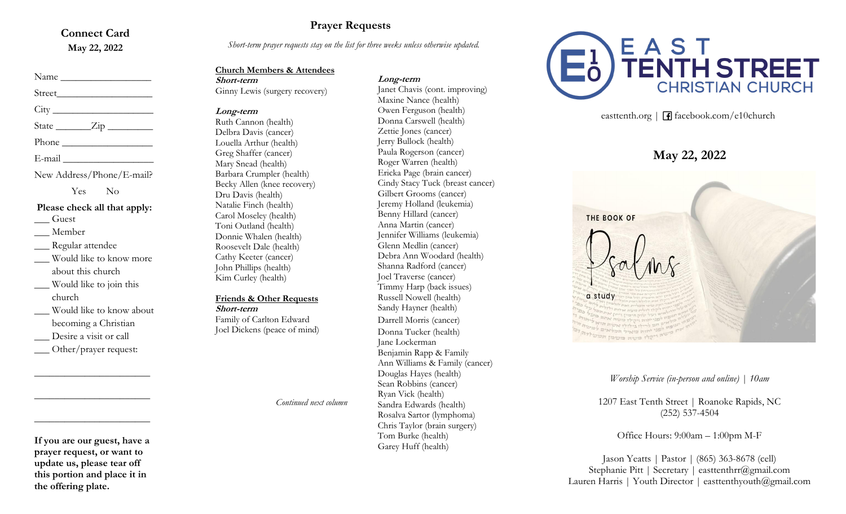#### **Connect Card May 22, 2022**

## Name \_\_\_\_\_\_\_\_\_\_\_\_\_\_\_\_\_\_ Street\_\_\_\_\_\_\_\_\_\_\_\_\_\_\_\_\_\_\_  $City$

State <u>Zip</u>

Phone  $\blacksquare$ 

 $E$ -mail  $\Box$ 

New Address/Phone/E-mail?

Yes No

#### **Please check all that apply:**

\_\_\_ Guest

\_\_\_ Member Regular attendee

- \_\_\_ Would like to know more about this church
- \_\_\_ Would like to join this church
- \_\_\_ Would like to know about becoming a Christian
- Desire a visit or call
- Other/prayer request:

**\_\_\_\_\_\_\_\_\_\_\_\_\_\_\_\_\_\_\_\_\_\_\_**

**\_\_\_\_\_\_\_\_\_\_\_\_\_\_\_\_\_\_\_\_\_\_\_**

**\_\_\_\_\_\_\_\_\_\_\_\_\_\_\_\_\_\_\_\_\_\_\_**

### **Prayer Requests**

*Short-term prayer requests stay on the list for three weeks unless otherwise updated.*

#### **Church Members & Attendees**

#### **Long-term**

Janet Chavis (cont. improving)

**Short-term** Ginny Lewis (surgery recovery)

#### **Long-term**

Ruth Cannon (health) Delbra Davis (cancer) Louella Arthur (health) Greg Shaffer (cancer) Mary Snead (health) Barbara Crumpler (health) Becky Allen (knee recovery) Dru Davis (health) Natalie Finch (health) Carol Moseley (health) Toni Outland (health) Donnie Whalen (health) Roosevelt Dale (health) Cathy Keeter (cancer) John Phillips (health) Kim Curley (health)

#### **Friends & Other Requests**

**Short-term** Family of Carlton Edward Joel Dickens (peace of mind)

*Continued next column*

Maxine Nance (health) Owen Ferguson (health) Donna Carswell (health) Zettie Jones (cancer) Jerry Bullock (health) Paula Rogerson (cancer) Roger Warren (health) Ericka Page (brain cancer) Cindy Stacy Tuck (breast cancer) Gilbert Grooms (cancer) Jeremy Holland (leukemia) Benny Hillard (cancer) Anna Martin (cancer) Jennifer Williams (leukemia) Glenn Medlin (cancer) Debra Ann Woodard (health) Shanna Radford (cancer) Joel Traverse (cancer) Timmy Harp (back issues) Russell Nowell (health) Sandy Hayner (health) Darrell Morris (cancer) Donna Tucker (health) Jane Lockerman Benjamin Rapp & Family Ann Williams & Family (cancer) Douglas Hayes (health) Sean Robbins (cancer) Ryan Vick (health) Sandra Edwards (health) Rosalva Sartor (lymphoma) Chris Taylor (brain surgery) Tom Burke (health) Garey Huff (health)



easttenth.org | **f** facebook.com/e10church

## **May 22, 2022**

THE BOOK OF a study

1207 East Tenth Street | Roanoke Rapids, NC (252) 537-4504

Office Hours: 9:00am – 1:00pm M-F

Jason Yeatts | Pastor | (865) 363-8678 (cell) Stephanie Pitt | Secretary | easttenthrr@gmail.com Lauren Harris | Youth Director | easttenthyouth@gmail.com

**If you are our guest, have a prayer request, or want to update us, please tear off this portion and place it in the offering plate.**

*Worship Service (in-person and online) | 10am*